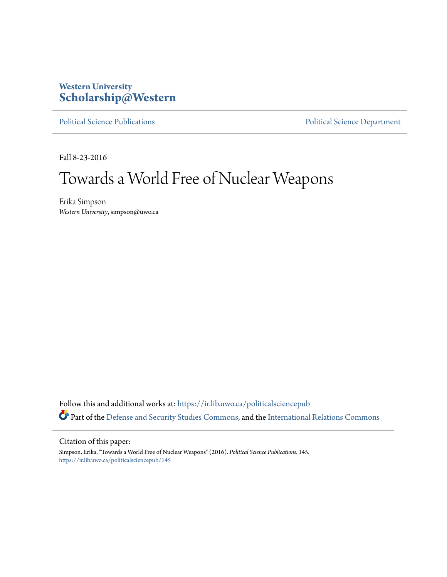## **Western University [Scholarship@Western](https://ir.lib.uwo.ca?utm_source=ir.lib.uwo.ca%2Fpoliticalsciencepub%2F145&utm_medium=PDF&utm_campaign=PDFCoverPages)**

[Political Science Publications](https://ir.lib.uwo.ca/politicalsciencepub?utm_source=ir.lib.uwo.ca%2Fpoliticalsciencepub%2F145&utm_medium=PDF&utm_campaign=PDFCoverPages) **[Political Science Department](https://ir.lib.uwo.ca/politicalscience?utm_source=ir.lib.uwo.ca%2Fpoliticalsciencepub%2F145&utm_medium=PDF&utm_campaign=PDFCoverPages)** 

Fall 8-23-2016

# Towards a World Free of Nuclear Weapons

Erika Simpson *Western University*, simpson@uwo.ca

Follow this and additional works at: [https://ir.lib.uwo.ca/politicalsciencepub](https://ir.lib.uwo.ca/politicalsciencepub?utm_source=ir.lib.uwo.ca%2Fpoliticalsciencepub%2F145&utm_medium=PDF&utm_campaign=PDFCoverPages) Part of the [Defense and Security Studies Commons](http://network.bepress.com/hgg/discipline/394?utm_source=ir.lib.uwo.ca%2Fpoliticalsciencepub%2F145&utm_medium=PDF&utm_campaign=PDFCoverPages), and the [International Relations Commons](http://network.bepress.com/hgg/discipline/389?utm_source=ir.lib.uwo.ca%2Fpoliticalsciencepub%2F145&utm_medium=PDF&utm_campaign=PDFCoverPages)

#### Citation of this paper:

Simpson, Erika, "Towards a World Free of Nuclear Weapons" (2016). *Political Science Publications*. 145. [https://ir.lib.uwo.ca/politicalsciencepub/145](https://ir.lib.uwo.ca/politicalsciencepub/145?utm_source=ir.lib.uwo.ca%2Fpoliticalsciencepub%2F145&utm_medium=PDF&utm_campaign=PDFCoverPages)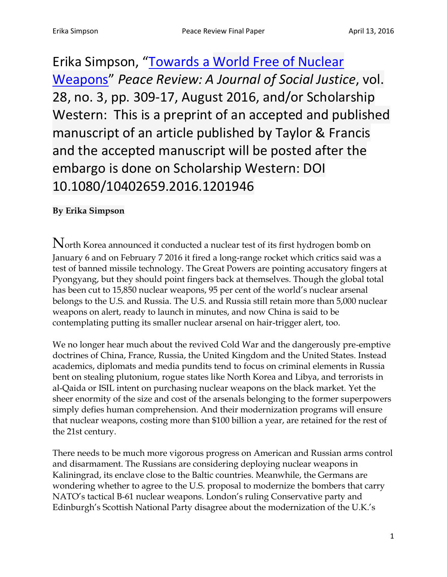Erika Simpson, "[Towards a World Free of Nuclear](http://www.tandfonline.com/doi/full/10.1080/10402659.2016.1201946?src=recsys)  [Weapons](http://www.tandfonline.com/doi/full/10.1080/10402659.2016.1201946?src=recsys)" *Peace Review: A Journal of Social Justice*, vol. 28, no. 3, pp. 309-17, August 2016, and/or Scholarship Western: This is a preprint of an accepted and published manuscript of an article published by Taylor & Francis and the accepted manuscript will be posted after the embargo is done on Scholarship Western: DOI 10.1080/10402659.2016.1201946

## **By Erika Simpson**

North Korea announced it conducted a nuclear test of its first hydrogen bomb on January 6 and on February 7 2016 it fired a long-range rocket which critics said was a test of banned missile technology. The Great Powers are pointing accusatory fingers at Pyongyang, but they should point fingers back at themselves. Though the global total has been cut to 15,850 nuclear weapons, 95 per cent of the world's nuclear arsenal belongs to the U.S. and Russia. The U.S. and Russia still retain more than 5,000 nuclear weapons on alert, ready to launch in minutes, and now China is said to be contemplating putting its smaller nuclear arsenal on hair-trigger alert, too.

We no longer hear much about the revived Cold War and the dangerously pre-emptive doctrines of China, France, Russia, the United Kingdom and the United States. Instead academics, diplomats and media pundits tend to focus on criminal elements in Russia bent on stealing plutonium, rogue states like North Korea and Libya, and terrorists in al-Qaida or ISIL intent on purchasing nuclear weapons on the black market. Yet the sheer enormity of the size and cost of the arsenals belonging to the former superpowers simply defies human comprehension. And their modernization programs will ensure that nuclear weapons, costing more than \$100 billion a year, are retained for the rest of the 21st century.

There needs to be much more vigorous progress on American and Russian arms control and disarmament. The Russians are considering deploying nuclear weapons in Kaliningrad, its enclave close to the Baltic countries. Meanwhile, the Germans are wondering whether to agree to the U.S. proposal to modernize the bombers that carry NATO's tactical B-61 nuclear weapons. London's ruling Conservative party and Edinburgh's Scottish National Party disagree about the modernization of the U.K.'s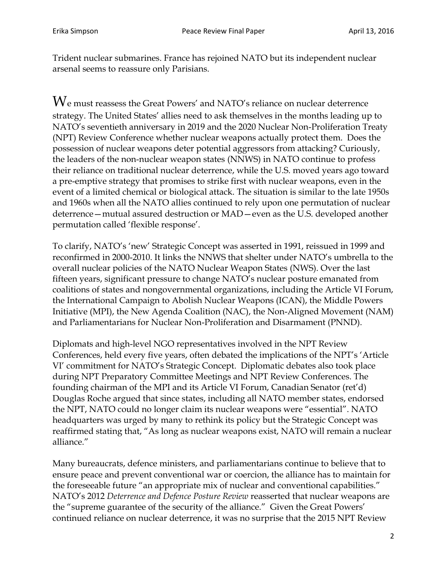Trident nuclear submarines. France has rejoined NATO but its independent nuclear arsenal seems to reassure only Parisians.

We must reassess the Great Powers' and NATO's reliance on nuclear deterrence strategy. The United States' allies need to ask themselves in the months leading up to NATO's seventieth anniversary in 2019 and the 2020 Nuclear Non-Proliferation Treaty (NPT) Review Conference whether nuclear weapons actually protect them. Does the possession of nuclear weapons deter potential aggressors from attacking? Curiously, the leaders of the non-nuclear weapon states (NNWS) in NATO continue to profess their reliance on traditional nuclear deterrence, while the U.S. moved years ago toward a pre-emptive strategy that promises to strike first with nuclear weapons, even in the event of a limited chemical or biological attack. The situation is similar to the late 1950s and 1960s when all the NATO allies continued to rely upon one permutation of nuclear deterrence—mutual assured destruction or MAD—even as the U.S. developed another permutation called 'flexible response'.

To clarify, NATO's 'new' Strategic Concept was asserted in 1991, reissued in 1999 and reconfirmed in 2000-2010. It links the NNWS that shelter under NATO's umbrella to the overall nuclear policies of the NATO Nuclear Weapon States (NWS). Over the last fifteen years, significant pressure to change NATO's nuclear posture emanated from coalitions of states and nongovernmental organizations, including the Article VI Forum, the International Campaign to Abolish Nuclear Weapons (ICAN), the Middle Powers Initiative (MPI), the New Agenda Coalition (NAC), the Non-Aligned Movement (NAM) and Parliamentarians for Nuclear Non-Proliferation and Disarmament (PNND).

Diplomats and high-level NGO representatives involved in the NPT Review Conferences, held every five years, often debated the implications of the NPT's 'Article VI' commitment for NATO's Strategic Concept. Diplomatic debates also took place during NPT Preparatory Committee Meetings and NPT Review Conferences. The founding chairman of the MPI and its Article VI Forum, Canadian Senator (ret'd) Douglas Roche argued that since states, including all NATO member states, endorsed the NPT, NATO could no longer claim its nuclear weapons were "essential". NATO headquarters was urged by many to rethink its policy but the Strategic Concept was reaffirmed stating that, "As long as nuclear weapons exist, NATO will remain a nuclear alliance."

Many bureaucrats, defence ministers, and parliamentarians continue to believe that to ensure peace and prevent conventional war or coercion, the alliance has to maintain for the foreseeable future "an appropriate mix of nuclear and conventional capabilities." NATO's 2012 *Deterrence and Defence Posture Review* reasserted that nuclear weapons are the "supreme guarantee of the security of the alliance." Given the Great Powers' continued reliance on nuclear deterrence, it was no surprise that the 2015 NPT Review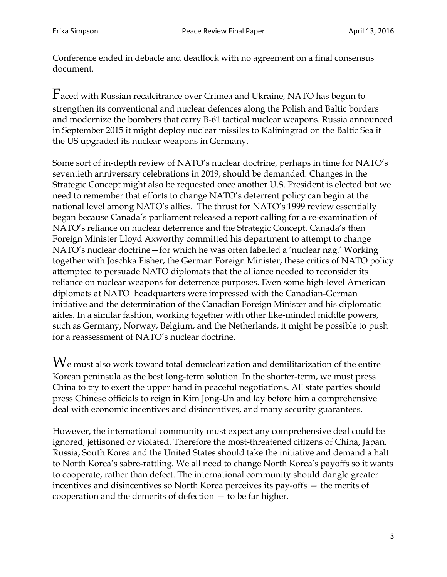Conference ended in debacle and deadlock with no agreement on a final consensus document.

Faced with Russian recalcitrance over Crimea and Ukraine, NATO has begun to strengthen its conventional and nuclear defences along the Polish and Baltic borders and modernize the bombers that carry B-61 tactical nuclear weapons. Russia announced in September 2015 it might deploy nuclear missiles to Kaliningrad on the Baltic Sea if the US upgraded its nuclear weapons in Germany.

Some sort of in-depth review of NATO's nuclear doctrine, perhaps in time for NATO's seventieth anniversary celebrations in 2019, should be demanded. Changes in the Strategic Concept might also be requested once another U.S. President is elected but we need to remember that efforts to change NATO's deterrent policy can begin at the national level among NATO's allies. The thrust for NATO's 1999 review essentially began because Canada's parliament released a report calling for a re-examination of NATO's reliance on nuclear deterrence and the Strategic Concept. Canada's then Foreign Minister Lloyd Axworthy committed his department to attempt to change NATO's nuclear doctrine—for which he was often labelled a 'nuclear nag.' Working together with Joschka Fisher, the German Foreign Minister, these critics of NATO policy attempted to persuade NATO diplomats that the alliance needed to reconsider its reliance on nuclear weapons for deterrence purposes. Even some high-level American diplomats at NATO headquarters were impressed with the Canadian-German initiative and the determination of the Canadian Foreign Minister and his diplomatic aides. In a similar fashion, working together with other like-minded middle powers, such as Germany, Norway, Belgium, and the Netherlands, it might be possible to push for a reassessment of NATO's nuclear doctrine.

 $\rm{W}$ e must also work toward total denuclearization and demilitarization of the entire Korean peninsula as the best long-term solution. In the shorter-term, we must press China to try to exert the upper hand in peaceful negotiations. All state parties should press Chinese officials to reign in Kim Jong-Un and lay before him a comprehensive deal with economic incentives and disincentives, and many security guarantees.

However, the international community must expect any comprehensive deal could be ignored, jettisoned or violated. Therefore the most-threatened citizens of China, Japan, Russia, South Korea and the United States should take the initiative and demand a halt to North Korea's sabre-rattling. We all need to change North Korea's payoffs so it wants to cooperate, rather than defect. The international community should dangle greater incentives and disincentives so North Korea perceives its pay-offs — the merits of cooperation and the demerits of defection — to be far higher.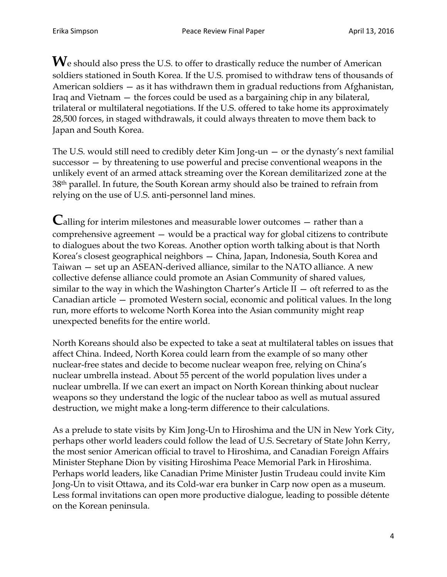**W**e should also press the U.S. to offer to drastically reduce the number of American soldiers stationed in South Korea. If the U.S. promised to withdraw tens of thousands of American soldiers — as it has withdrawn them in gradual reductions from Afghanistan, Iraq and Vietnam — the forces could be used as a bargaining chip in any bilateral, trilateral or multilateral negotiations. If the U.S. offered to take home its approximately 28,500 forces, in staged withdrawals, it could always threaten to move them back to Japan and South Korea.

The U.S. would still need to credibly deter Kim Jong-un — or the dynasty's next familial successor — by threatening to use powerful and precise conventional weapons in the unlikely event of an armed attack streaming over the Korean demilitarized zone at the 38th parallel. In future, the South Korean army should also be trained to refrain from relying on the use of U.S. anti-personnel land mines.

**Calling for interim milestones and measurable lower outcomes – rather than a** comprehensive agreement — would be a practical way for global citizens to contribute to dialogues about the two Koreas. Another option worth talking about is that North Korea's closest geographical neighbors — China, Japan, Indonesia, South Korea and Taiwan — set up an ASEAN-derived alliance, similar to the NATO alliance. A new collective defense alliance could promote an Asian Community of shared values, similar to the way in which the Washington Charter's Article  $II$  – oft referred to as the Canadian article — promoted Western social, economic and political values. In the long run, more efforts to welcome North Korea into the Asian community might reap unexpected benefits for the entire world.

North Koreans should also be expected to take a seat at multilateral tables on issues that affect China. Indeed, North Korea could learn from the example of so many other nuclear-free states and decide to become nuclear weapon free, relying on China's nuclear umbrella instead. About 55 percent of the world population lives under a nuclear umbrella. If we can exert an impact on North Korean thinking about nuclear weapons so they understand the logic of the nuclear taboo as well as mutual assured destruction, we might make a long-term difference to their calculations.

As a prelude to state visits by Kim Jong-Un to Hiroshima and the UN in New York City, perhaps other world leaders could follow the lead of U.S. Secretary of State John Kerry, the most senior American official to travel to Hiroshima, and Canadian Foreign Affairs Minister Stephane Dion by visiting Hiroshima Peace Memorial Park in Hiroshima. Perhaps world leaders, like Canadian Prime Minister Justin Trudeau could invite Kim Jong-Un to visit Ottawa, and its Cold-war era bunker in Carp now open as a museum. Less formal invitations can open more productive dialogue, leading to possible détente on the Korean peninsula.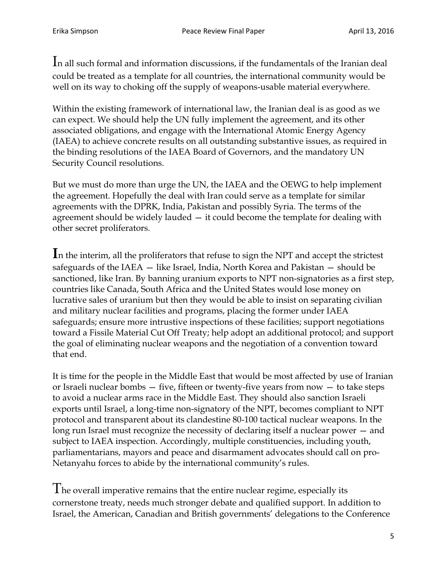In all such formal and information discussions, if the fundamentals of the Iranian deal could be treated as a template for all countries, the international community would be well on its way to choking off the supply of weapons-usable material everywhere.

Within the existing framework of international law, the Iranian deal is as good as we can expect. We should help the UN fully implement the agreement, and its other associated obligations, and engage with the International Atomic Energy Agency (IAEA) to achieve concrete results on all outstanding substantive issues, as required in the binding resolutions of the IAEA Board of Governors, and the mandatory UN Security Council resolutions.

But we must do more than urge the UN, the IAEA and the OEWG to help implement the agreement. Hopefully the deal with Iran could serve as a template for similar agreements with the DPRK, India, Pakistan and possibly Syria. The terms of the agreement should be widely lauded — it could become the template for dealing with other secret proliferators.

**I**n the interim, all the proliferators that refuse to sign the NPT and accept the strictest safeguards of the IAEA — like Israel, India, North Korea and Pakistan — should be sanctioned, like Iran. By banning uranium exports to NPT non-signatories as a first step, countries like Canada, South Africa and the United States would lose money on lucrative sales of uranium but then they would be able to insist on separating civilian and military nuclear facilities and programs, placing the former under IAEA safeguards; ensure more intrustive inspections of these facilities; support negotiations toward a Fissile Material Cut Off Treaty; help adopt an additional protocol; and support the goal of eliminating nuclear weapons and the negotiation of a convention toward that end.

It is time for the people in the Middle East that would be most affected by use of Iranian or Israeli nuclear bombs — five, fifteen or twenty-five years from now — to take steps to avoid a nuclear arms race in the Middle East. They should also sanction Israeli exports until Israel, a long-time non-signatory of the NPT, becomes compliant to NPT protocol and transparent about its clandestine 80-100 tactical nuclear weapons. In the long run Israel must recognize the necessity of declaring itself a nuclear power — and subject to IAEA inspection. Accordingly, multiple constituencies, including youth, parliamentarians, mayors and peace and disarmament advocates should call on pro-Netanyahu forces to abide by the international community's rules.

 $T$  he overall imperative remains that the entire nuclear regime, especially its cornerstone treaty, needs much stronger debate and qualified support. In addition to Israel, the American, Canadian and British governments' delegations to the Conference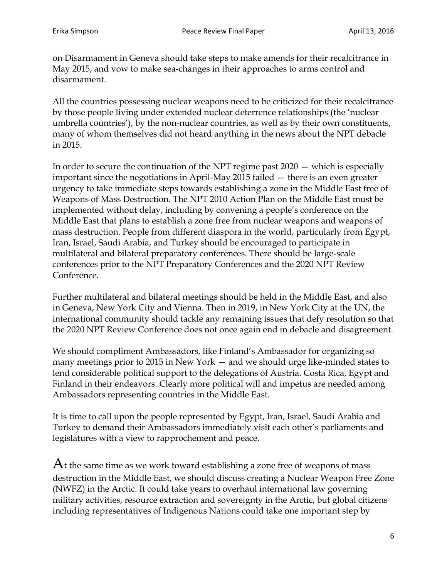on Disarmament in Geneva should take steps to make amends for their recalcitrance in May 2015, and vow to make sea-changes in their approaches to arms control and disarmament.

All the countries possessing nuclear weapons need to be criticized for their recalcitrance by those people living under extended nuclear deterrence relationships (the 'nuclear umbrella countries'), by the non-nuclear countries, as well as by their own constituents, many of whom themselves did not heard anything in the news about the NPT debacle in 2015.

In order to secure the continuation of the NPT regime past 2020 — which is especially important since the negotiations in April-May 2015 failed — there is an even greater urgency to take immediate steps towards establishing a zone in the Middle East free of Weapons of Mass Destruction. The NPT 2010 Action Plan on the Middle East must be implemented without delay, including by convening a people's conference on the Middle East that plans to establish a zone free from nuclear weapons and weapons of mass destruction. People from different diaspora in the world, particularly from Egypt, Iran, Israel, Saudi Arabia, and Turkey should be encouraged to participate in multilateral and bilateral preparatory conferences. There should be large-scale conferences prior to the NPT Preparatory Conferences and the 2020 NPT Review Conference.

Further multilateral and bilateral meetings should be held in the Middle East, and also in Geneva, New York City and Vienna. Then in 2019, in New York City at the UN, the international community should tackle any remaining issues that defy resolution so that the 2020 NPT Review Conference does not once again end in debacle and disagreement.

We should compliment Ambassadors, like Finland's Ambassador for organizing so many meetings prior to 2015 in New York — and we should urge like-minded states to lend considerable political support to the delegations of Austria. Costa Rica, Egypt and Finland in their endeavors. Clearly more political will and impetus are needed among Ambassadors representing countries in the Middle East.

It is time to call upon the people represented by Egypt, Iran, Israel, Saudi Arabia and Turkey to demand their Ambassadors immediately visit each other's parliaments and legislatures with a view to rapprochement and peace.

 $A$ t the same time as we work toward establishing a zone free of weapons of mass destruction in the Middle East, we should discuss creating a Nuclear Weapon Free Zone (NWFZ) in the Arctic. It could take years to overhaul international law governing military activities, resource extraction and sovereignty in the Arctic, but global citizens including representatives of Indigenous Nations could take one important step by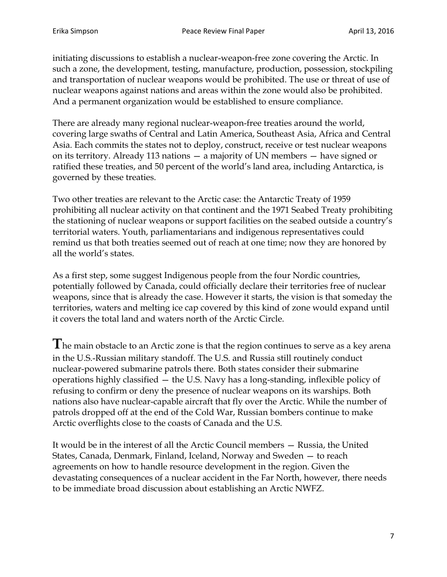initiating discussions to establish a nuclear-weapon-free zone covering the Arctic. In such a zone, the development, testing, manufacture, production, possession, stockpiling and transportation of nuclear weapons would be prohibited. The use or threat of use of nuclear weapons against nations and areas within the zone would also be prohibited. And a permanent organization would be established to ensure compliance.

There are already many regional nuclear-weapon-free treaties around the world, covering large swaths of Central and Latin America, Southeast Asia, Africa and Central Asia. Each commits the states not to deploy, construct, receive or test nuclear weapons on its territory. Already 113 nations — a majority of UN members — have signed or ratified these treaties, and 50 percent of the world's land area, including Antarctica, is governed by these treaties.

Two other treaties are relevant to the Arctic case: the Antarctic Treaty of 1959 prohibiting all nuclear activity on that continent and the 1971 Seabed Treaty prohibiting the stationing of nuclear weapons or support facilities on the seabed outside a country's territorial waters. Youth, parliamentarians and indigenous representatives could remind us that both treaties seemed out of reach at one time; now they are honored by all the world's states.

As a first step, some suggest Indigenous people from the four Nordic countries, potentially followed by Canada, could officially declare their territories free of nuclear weapons, since that is already the case. However it starts, the vision is that someday the territories, waters and melting ice cap covered by this kind of zone would expand until it covers the total land and waters north of the Arctic Circle.

**T**he main obstacle to an Arctic zone is that the region continues to serve as a key arena in the U.S.-Russian military standoff. The U.S. and Russia still routinely conduct nuclear-powered submarine patrols there. Both states consider their submarine operations highly classified — the U.S. Navy has a long-standing, inflexible policy of refusing to confirm or deny the presence of nuclear weapons on its warships. Both nations also have nuclear-capable aircraft that fly over the Arctic. While the number of patrols dropped off at the end of the Cold War, Russian bombers continue to make Arctic overflights close to the coasts of Canada and the U.S.

It would be in the interest of all the Arctic Council members — Russia, the United States, Canada, Denmark, Finland, Iceland, Norway and Sweden — to reach agreements on how to handle resource development in the region. Given the devastating consequences of a nuclear accident in the Far North, however, there needs to be immediate broad discussion about establishing an Arctic NWFZ.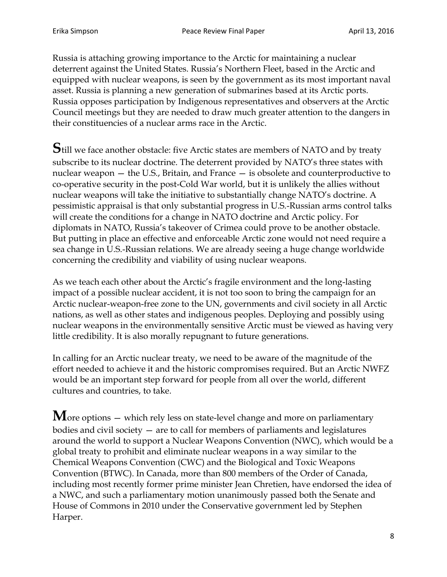Russia is attaching growing importance to the Arctic for maintaining a nuclear deterrent against the United States. Russia's Northern Fleet, based in the Arctic and equipped with nuclear weapons, is seen by the government as its most important naval asset. Russia is planning a new generation of submarines based at its Arctic ports. Russia opposes participation by Indigenous representatives and observers at the Arctic Council meetings but they are needed to draw much greater attention to the dangers in their constituencies of a nuclear arms race in the Arctic.

**S**till we face another obstacle: five Arctic states are members of NATO and by treaty subscribe to its nuclear doctrine. The deterrent provided by NATO's three states with nuclear weapon — the U.S., Britain, and France — is obsolete and counterproductive to co-operative security in the post-Cold War world, but it is unlikely the allies without nuclear weapons will take the initiative to substantially change NATO's doctrine. A pessimistic appraisal is that only substantial progress in U.S.-Russian arms control talks will create the conditions for a change in NATO doctrine and Arctic policy. For diplomats in NATO, Russia's takeover of Crimea could prove to be another obstacle. But putting in place an effective and enforceable Arctic zone would not need require a sea change in U.S.-Russian relations. We are already seeing a huge change worldwide concerning the credibility and viability of using nuclear weapons.

As we teach each other about the Arctic's fragile environment and the long-lasting impact of a possible nuclear accident, it is not too soon to bring the campaign for an Arctic nuclear-weapon-free zone to the UN, governments and civil society in all Arctic nations, as well as other states and indigenous peoples. Deploying and possibly using nuclear weapons in the environmentally sensitive Arctic must be viewed as having very little credibility. It is also morally repugnant to future generations.

In calling for an Arctic nuclear treaty, we need to be aware of the magnitude of the effort needed to achieve it and the historic compromises required. But an Arctic NWFZ would be an important step forward for people from all over the world, different cultures and countries, to take.

**M**ore options – which rely less on state-level change and more on parliamentary bodies and civil society  $-$  are to call for members of parliaments and legislatures around the world to support a Nuclear Weapons Convention (NWC), which would be a global treaty to prohibit and eliminate nuclear weapons in a way similar to the Chemical Weapons Convention (CWC) and the Biological and Toxic Weapons Convention (BTWC). In Canada, more than 800 members of the Order of Canada, including most recently former prime minister Jean Chretien, have endorsed the idea of a NWC, and such a parliamentary motion unanimously passed both the Senate and House of Commons in 2010 under the Conservative government led by Stephen Harper.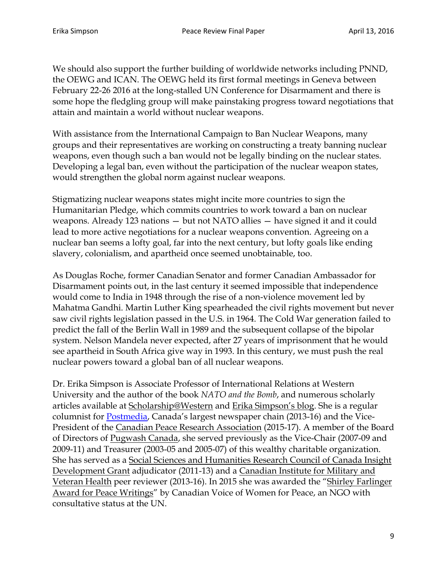We should also support the further building of worldwide networks including PNND, the OEWG and ICAN. The OEWG held its first formal meetings in Geneva between February 22-26 2016 at the long-stalled UN Conference for Disarmament and there is some hope the fledgling group will make painstaking progress toward negotiations that attain and maintain a world without nuclear weapons.

With assistance from the International Campaign to Ban Nuclear Weapons, many groups and their representatives are working on constructing a treaty banning nuclear weapons, even though such a ban would not be legally binding on the nuclear states. Developing a legal ban, even without the participation of the nuclear weapon states, would strengthen the global norm against nuclear weapons.

Stigmatizing nuclear weapons states might incite more countries to sign the Humanitarian Pledge, which commits countries to work toward a ban on nuclear weapons. Already 123 nations — but not NATO allies — have signed it and it could lead to more active negotiations for a nuclear weapons convention. Agreeing on a nuclear ban seems a lofty goal, far into the next century, but lofty goals like ending slavery, colonialism, and apartheid once seemed unobtainable, too.

As Douglas Roche, former Canadian Senator and former Canadian Ambassador for Disarmament points out, in the last century it seemed impossible that independence would come to India in 1948 through the rise of a non-violence movement led by Mahatma Gandhi. Martin Luther King spearheaded the civil rights movement but never saw civil rights legislation passed in the U.S. in 1964. The Cold War generation failed to predict the fall of the Berlin Wall in 1989 and the subsequent collapse of the bipolar system. Nelson Mandela never expected, after 27 years of imprisonment that he would see apartheid in South Africa give way in 1993. In this century, we must push the real nuclear powers toward a global ban of all nuclear weapons.

Dr. Erika Simpson is Associate Professor of International Relations at Western University and the author of the book *NATO and the Bomb*, and numerous scholarly articles available at [Scholarship@Western](http://ir.lib.uwo.ca/do/search/?q=erika%20simpson&start=0&context=674312) and [Erika Simpson's blog](https://erikasimpson.wordpress.com/about/). She is a regular columnist for [Postmedia](http://www.postmedia.com/), Canada's largest newspaper chain (2013-16) and the Vice-President of the [Canadian Peace Research Association](http://cpra-arcp.weebly.com/2016-cpra-program.html) (2015-17). A member of the Board of Directors of [Pugwash Canada,](http://www.pugwashgroup.ca/) she served previously as the Vice-Chair (2007-09 and 2009-11) and Treasurer (2003-05 and 2005-07) of this wealthy charitable organization. She has served as a [Social Sciences and Humanities Research Council of Canada Insight](http://www.sshrc-crsh.gc.ca/funding-financement/programs-programmes/insight_development_grants-subventions_de_developpement_savoir-eng.aspx)  [Development Grant](http://www.sshrc-crsh.gc.ca/funding-financement/programs-programmes/insight_development_grants-subventions_de_developpement_savoir-eng.aspx) adjudicator (2011-13) and a [Canadian Institute for Military and](https://cimvhr.ca/)  [Veteran Health](https://cimvhr.ca/) peer reviewer (2013-16). In 2015 she was awarded the "[Shirley Farlinger](http://vowpeace.org/)  [Award for Peace Writings](http://vowpeace.org/)" by Canadian Voice of Women for Peace, an NGO with consultative status at the UN.